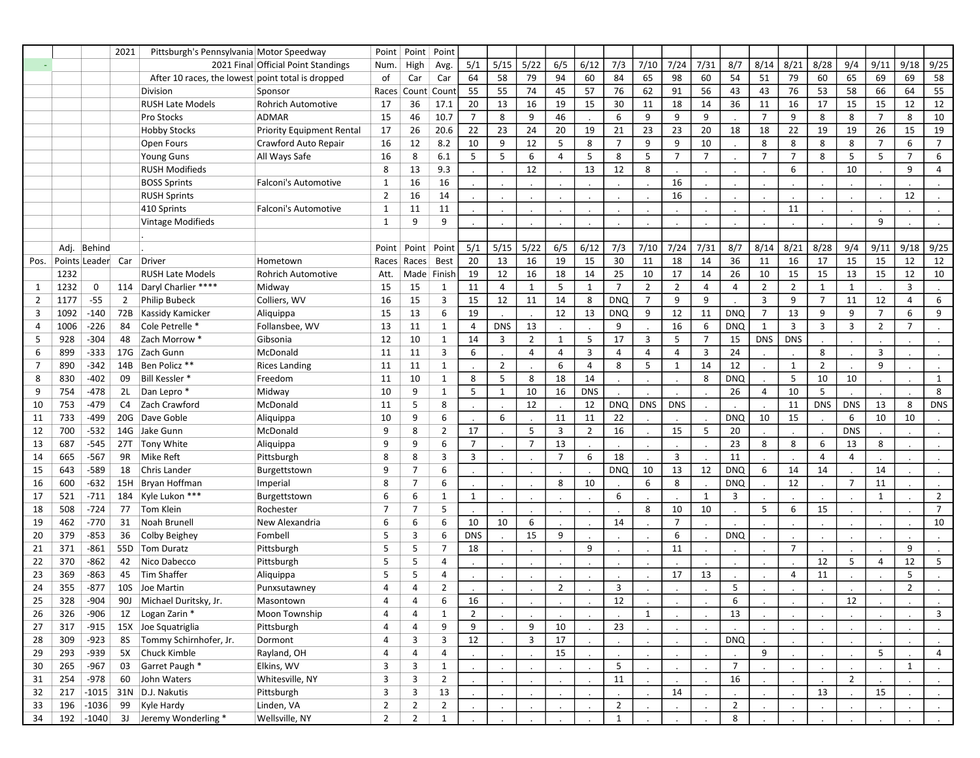|                |      |                   | 2021           | Pittsburgh's Pennsylvania Motor Speedway          |                                     | Point          | Point          | Point          |                            |                |                      |                |                |                |                |                 |                |                |                |                |                |                |                |                |                |
|----------------|------|-------------------|----------------|---------------------------------------------------|-------------------------------------|----------------|----------------|----------------|----------------------------|----------------|----------------------|----------------|----------------|----------------|----------------|-----------------|----------------|----------------|----------------|----------------|----------------|----------------|----------------|----------------|----------------|
|                |      |                   |                |                                                   | 2021 Final Official Point Standings | Num.           | High           | Avg.           | 5/1                        | 5/15           | 5/22                 | 6/5            | 6/12           | 7/3            | 7/10           | 7/24            | 7/31           | 8/7            | 8/14           | 8/21           | 8/28           | 9/4            | 9/11           | 9/18           | 9/25           |
|                |      |                   |                | After 10 races, the lowest point total is dropped |                                     | of             | Car            | Car            | 64                         | 58             | 79                   | 94             | 60             | 84             | 65             | 98              | 60             | 54             | 51             | 79             | 60             | 65             | 69             | 69             | 58             |
|                |      |                   |                | Division                                          | Sponsor                             | Races          | Count          | Count          | 55                         | 55             | 74                   | 45             | 57             | 76             | 62             | 91              | 56             | 43             | 43             | 76             | 53             | 58             | 66             | 64             | 55             |
|                |      |                   |                | <b>RUSH Late Models</b>                           | <b>Rohrich Automotive</b>           | 17             | 36             | 17.1           | 20                         | 13             | 16                   | 19             | 15             | 30             | 11             | 18              | 14             | 36             | 11             | 16             | 17             | 15             | 15             | 12             | 12             |
|                |      |                   |                | Pro Stocks                                        | ADMAR                               | 15             | 46             | 10.7           | $\overline{7}$             | 8              | 9                    | 46             |                | 6              | 9              | 9               | 9              |                | $\overline{7}$ | 9              | 8              | 8              | $\overline{7}$ | 8              | 10             |
|                |      |                   |                | <b>Hobby Stocks</b>                               | <b>Priority Equipment Rental</b>    | 17             | 26             | 20.6           | 22                         | 23             | 24                   | 20             | 19             | 21             | 23             | 23              | 20             | 18             | 18             | 22             | 19             | 19             | 26             | 15             | 19             |
|                |      |                   |                | Open Fours                                        | Crawford Auto Repair                | 16             | 12             | 8.2            | 10                         | 9              | 12                   | 5              | 8              | $\overline{7}$ | 9              | 9               | 10             |                | 8              | 8              | 8              | 8              | $\overline{7}$ | 6              | $\overline{7}$ |
|                |      |                   |                | <b>Young Guns</b>                                 | All Ways Safe                       | 16             | 8              | 6.1            | 5                          | 5              | 6                    | $\overline{4}$ | 5              | 8              | 5              | $\overline{7}$  | $\overline{7}$ |                | $\overline{7}$ | $\overline{7}$ | 8              | 5              | 5              | $\overline{7}$ | 6              |
|                |      |                   |                | <b>RUSH Modifieds</b>                             |                                     | 8              | 13             | 9.3            |                            |                | 12                   |                | 13             | 12             | 8              |                 |                |                |                | 6              |                | 10             |                | 9              | 4              |
|                |      |                   |                | <b>BOSS Sprints</b>                               | Falconi's Automotive                | 1              | 16             | 16             |                            |                |                      |                |                |                |                | 16              |                |                |                |                |                |                |                |                |                |
|                |      |                   |                | <b>RUSH Sprints</b>                               |                                     | $\overline{2}$ | 16             | 14             |                            |                |                      | $\cdot$        |                |                |                | 16              |                | $\blacksquare$ |                |                |                |                |                | 12             |                |
|                |      |                   |                | 410 Sprints                                       | <b>Falconi's Automotive</b>         | $\mathbf{1}$   | 11             | 11             |                            |                |                      |                |                |                |                |                 |                |                |                | 11             |                |                |                |                |                |
|                |      |                   |                | <b>Vintage Modifieds</b>                          |                                     | $\mathbf{1}$   | 9              | 9              |                            |                |                      |                |                |                |                |                 |                |                |                |                |                |                | 9              |                |                |
|                |      |                   |                |                                                   |                                     |                |                |                |                            |                |                      | $\cdot$        |                |                |                |                 |                |                |                |                |                |                |                |                |                |
|                |      |                   |                |                                                   |                                     |                |                |                |                            |                |                      |                |                |                |                |                 |                |                |                |                |                |                |                |                |                |
|                | Adj. | Behind            |                |                                                   |                                     | Point          | Point          | Point          | 5/1                        | 5/15           | 5/22                 | 6/5            | 6/12           | 7/3            | 7/10           | 7/24            | 7/31           | 8/7            | 8/14           | 8/21           | 8/28           | 9/4            | 9/11           | 9/18           | 9/25           |
| Pos.           |      | Points Leader Car |                | Driver                                            | Hometown                            | Races          | Races          | <b>Best</b>    | 20                         | 13             | 16                   | 19             | 15             | 30             | 11             | 18              | 14             | 36             | 11             | 16             | 17             | 15             | 15             | 12             | 12             |
|                | 1232 |                   |                | <b>RUSH Late Models</b>                           | <b>Rohrich Automotive</b>           | Att.           |                | Made Finish    | 19                         | 12             | 16                   | 18             | 14             | 25             | 10             | 17              | 14             | 26             | 10             | 15             | 15             | 13             | 15             | 12             | 10             |
| 1              | 1232 | 0                 |                | 114   Daryl Charlier ****                         | Midway                              | 15             | 15             | 1              | 11                         | $\overline{4}$ | 1                    | 5              | 1              | $\overline{7}$ | $\overline{2}$ | $\overline{2}$  | $\overline{4}$ | 4              | $\overline{2}$ | $\overline{2}$ | 1              | $\mathbf{1}$   |                | 3              |                |
| $\overline{2}$ | 1177 | $-55$             | $\overline{2}$ | Philip Bubeck                                     | Colliers, WV                        | 16             | 15             | 3              | 15                         | 12             | 11                   | 14             | 8              | <b>DNQ</b>     | $\overline{7}$ | 9               | 9              |                | 3              | 9              | $\overline{7}$ | 11             | 12             | $\overline{4}$ | 6              |
| 3              | 1092 | $-140$            | 72B            | <b>Kassidy Kamicker</b>                           | Aliquippa                           | 15             | 13             | 6              | 19                         |                |                      | 12             | 13             | <b>DNQ</b>     | 9              | 12              | 11             | <b>DNQ</b>     | $\overline{7}$ | 13             | 9              | 9              | $\overline{7}$ | 6              | 9              |
| 4              | 1006 | $-226$            | 84             | Cole Petrelle *                                   | Follansbee, WV                      | 13             | 11             | $\mathbf{1}$   | $\overline{4}$             | <b>DNS</b>     | 13                   |                |                | 9              |                | $\overline{16}$ | 6              | <b>DNO</b>     | 1              | 3              | 3              | 3              | $\overline{2}$ | $\overline{7}$ |                |
| 5              | 928  | $-304$            | 48             | Zach Morrow *                                     | Gibsonia                            | 12             | 10             | $\mathbf{1}$   | 14                         | 3              | $\overline{2}$       | $\mathbf{1}$   | 5              | 17             | 3              | 5               | $\overline{7}$ | 15             | <b>DNS</b>     | <b>DNS</b>     |                |                |                |                |                |
| 6              | 899  | $-333$            | 17G            | Zach Gunn                                         | McDonald                            | 11             | 11             | 3              | 6                          |                | 4                    | 4              | 3              | $\overline{4}$ | 4              | $\overline{4}$  | $\overline{3}$ | 24             |                |                | 8              |                | 3              |                |                |
| 7              | 890  | -342              |                | 14B Ben Policz **                                 | <b>Rices Landing</b>                | 11             | 11             | $\mathbf{1}$   |                            | $\overline{2}$ |                      | 6              | $\overline{4}$ | 8              | 5              | $\mathbf{1}$    | 14             | 12             |                | 1              | $\overline{2}$ |                | 9              |                |                |
| 8              | 830  | $-402$            | 09             | Bill Kessler *                                    | Freedom                             | 11             | 10             | $\mathbf{1}$   | 8                          | 5              | 8                    | 18             | 14             |                |                |                 | 8              | <b>DNQ</b>     |                | 5              | 10             | 10             |                |                | $\mathbf{1}$   |
| 9              | 754  | $-478$            | 2L             | Dan Lepro*                                        | Midway                              | 10             | 9              | $\mathbf{1}$   | 5                          | 1              | 10                   | 16             | <b>DNS</b>     |                |                |                 |                | 26             | $\overline{4}$ | 10             | 5              |                |                |                | 8              |
| 10             | 753  | $-479$            | C4             | Zach Crawford                                     | McDonald                            | 11             | 5              | 8              |                            |                | 12                   |                | 12             | <b>DNQ</b>     | <b>DNS</b>     | <b>DNS</b>      |                |                |                | 11             | <b>DNS</b>     | <b>DNS</b>     | 13             | 8              | <b>DNS</b>     |
| 11             | 733  | $-499$            | 20G            | Dave Goble                                        |                                     | 10             | 9              | 6              |                            | 6              |                      | 11             | 11             | 22             |                |                 |                | <b>DNQ</b>     | 10             | 15             |                | 6              | 10             | 10             |                |
|                | 700  | $-532$            |                |                                                   | Aliquippa                           | 9              |                |                | $\ddot{\phantom{a}}$<br>17 |                | 5                    | 3              |                | 16             |                | 15              | 5              | 20             |                |                |                | <b>DNS</b>     |                |                |                |
| 12             |      |                   |                | 14G Jake Gunn                                     | McDonald                            |                | 8              | $\overline{2}$ |                            |                |                      |                | $\overline{2}$ |                |                |                 |                |                |                |                |                |                |                |                |                |
| 13             | 687  | -545              |                | 27T Tony White                                    | Aliquippa                           | 9              | 9              | 6              | $\overline{7}$             |                | $\overline{7}$       | 13             |                |                |                |                 |                | 23             | 8              | 8              | 6              | 13             | 8              |                |                |
| 14             | 665  | $-567$            | 9R             | Mike Reft                                         | Pittsburgh                          | 8              | 8              | 3              | $\overline{3}$             |                |                      | $\overline{7}$ | 6              | 18             |                | 3               |                | 11             |                |                | $\overline{4}$ | $\overline{4}$ |                |                |                |
| 15             | 643  | $-589$            | 18             | Chris Lander                                      | Burgettstown                        | 9              | $\overline{7}$ | 6              | $\cdot$                    |                |                      |                |                | <b>DNQ</b>     | 10             | 13              | 12             | <b>DNQ</b>     | 6              | 14             | 14             |                | 14             |                |                |
| 16             | 600  | $-632$            | 15H            | Bryan Hoffman                                     | Imperial                            | 8              | $\overline{7}$ | 6              |                            |                |                      | 8              | 10             |                | 6              | 8               |                | <b>DNQ</b>     |                | 12             |                | $\overline{7}$ | 11             |                |                |
| 17             | 521  | $-711$            |                | 184 Kyle Lukon ***                                | Burgettstown                        | 6              | 6              | 1              | $\mathbf{1}$               |                |                      |                |                | 6              |                |                 | 1              | 3              |                |                |                |                | $\mathbf{1}$   |                | $\overline{2}$ |
| 18             | 508  | $-724$            | 77             | Tom Klein                                         | Rochester                           | $\overline{7}$ | $\overline{7}$ | 5              |                            |                |                      |                |                |                | 8              | 10              | 10             |                | 5              | 6              | 15             |                |                |                | $\overline{7}$ |
| 19             | 462  | $-770$            | 31             | Noah Brunell                                      | New Alexandria                      | 6              | 6              | 6              | 10                         | 10             | 6                    |                |                | 14             |                | $\overline{7}$  |                |                |                |                |                |                |                | $\cdot$        | 10             |
| 20             | 379  | $-853$            | 36             | Colby Beighey                                     | Fombell                             | 5              | 3              | 6              | <b>DNS</b>                 |                | 15                   | 9              |                |                |                | 6               |                | <b>DNQ</b>     |                |                |                |                |                |                |                |
| 21             | 371  | $-861$            | 55D            | Tom Duratz                                        | Pittsburgh                          | 5              | 5              | $\overline{7}$ | 18                         |                |                      |                | 9              |                |                | 11              |                |                |                | $\overline{7}$ |                |                |                | 9              |                |
| 22             | 370  | $-862$            | 42             | Nico Dabecco                                      | Pittsburgh                          | 5              | 5              | 4              |                            |                |                      |                |                |                |                |                 |                |                |                |                | 12             | 5              | 4              | 12             | 5              |
| 23             | 369  | -863              | 45             | <b>Tim Shaffer</b>                                | Aliquippa                           | 5              | 5              | 4              | $\cdot$                    |                |                      |                |                |                |                | 17              | 13             |                |                | $\overline{4}$ | 11             |                |                | 5              |                |
| 24             | 355  | $-877$            | 10S            | Joe Martin                                        | Punxsutawney                        | $\overline{4}$ | 4              | $\overline{2}$ |                            |                |                      | $\overline{2}$ |                | 3              |                |                 |                | 5              |                |                |                |                |                | $\overline{2}$ |                |
| 25             | 328  | $-904$            | 90J            | Michael Duritsky, Jr.                             | Masontown                           | 4              | 4              | 6              | 16                         |                |                      |                |                | 12             |                |                 |                | 6              |                |                |                | 12             |                |                |                |
|                | 326  | $-906$            |                |                                                   |                                     | $\overline{4}$ |                |                | $\overline{2}$             | $\cdot$        | $\ddot{\phantom{a}}$ | $\sim$         |                |                | $\bullet$<br>1 | $\cdot$         | $\cdot$        | 13             |                | $\cdot$        | $\bullet$      |                |                | $\cdot$        |                |
| 26             |      |                   |                | 1Z Logan Zarin *                                  | Moon Township                       |                | 4              | 1              |                            |                |                      |                |                |                |                |                 |                |                |                |                |                |                |                |                | 3              |
| 27             | 317  | $-915$            |                | 15X Joe Squatriglia                               | Pittsburgh                          | $\overline{4}$ | 4              | 9              | 9                          |                | 9                    | 10             |                | 23             |                |                 |                |                |                |                |                |                |                |                |                |
| 28             | 309  | $-923$            |                | 8S Tommy Schirnhofer, Jr.                         | Dormont                             | 4              | 3              | 3              | 12                         |                | $\mathbf{3}$         | 17             |                |                |                |                 |                | <b>DNQ</b>     |                |                |                |                |                |                |                |
| 29             | 293  | -939              |                | 5X Chuck Kimble                                   | Rayland, OH                         | 4              | 4              | 4              |                            |                |                      | 15             |                |                |                |                 |                |                | 9              |                |                |                | 5              |                | 4              |
| 30             | 265  | $-967$            |                | 03 Garret Paugh *                                 | Elkins, WV                          | 3              | 3              | $\mathbf{1}$   |                            |                |                      |                |                | 5              |                |                 |                | $\overline{7}$ |                |                |                |                |                | $\mathbf{1}$   |                |
| 31             | 254  | -978              | 60             | John Waters                                       | Whitesville, NY                     | 3              | 3              | $\overline{2}$ |                            |                |                      |                |                | 11             |                |                 |                | 16             |                |                |                | $\overline{2}$ |                |                |                |
| 32             | 217  |                   |                | $-1015$ 31N D.J. Nakutis                          | Pittsburgh                          | 3              | 3              | 13             |                            |                |                      |                |                |                |                | 14              |                |                |                |                | 13             |                | 15             |                |                |
| 33             | 196  | $-1036$           | 99             | Kyle Hardy                                        | Linden, VA                          | $\overline{2}$ | $\overline{2}$ | $\overline{2}$ |                            |                |                      |                |                | $\overline{2}$ |                |                 |                | $\overline{2}$ |                |                |                |                |                |                |                |
| 34             |      |                   |                | 192 -1040 3J Jeremy Wonderling *                  | Wellsville, NY                      | $\overline{2}$ | $\overline{2}$ | $\mathbf{1}$   |                            |                |                      |                |                | $\mathbf{1}$   |                |                 |                | 8              |                |                |                |                |                |                |                |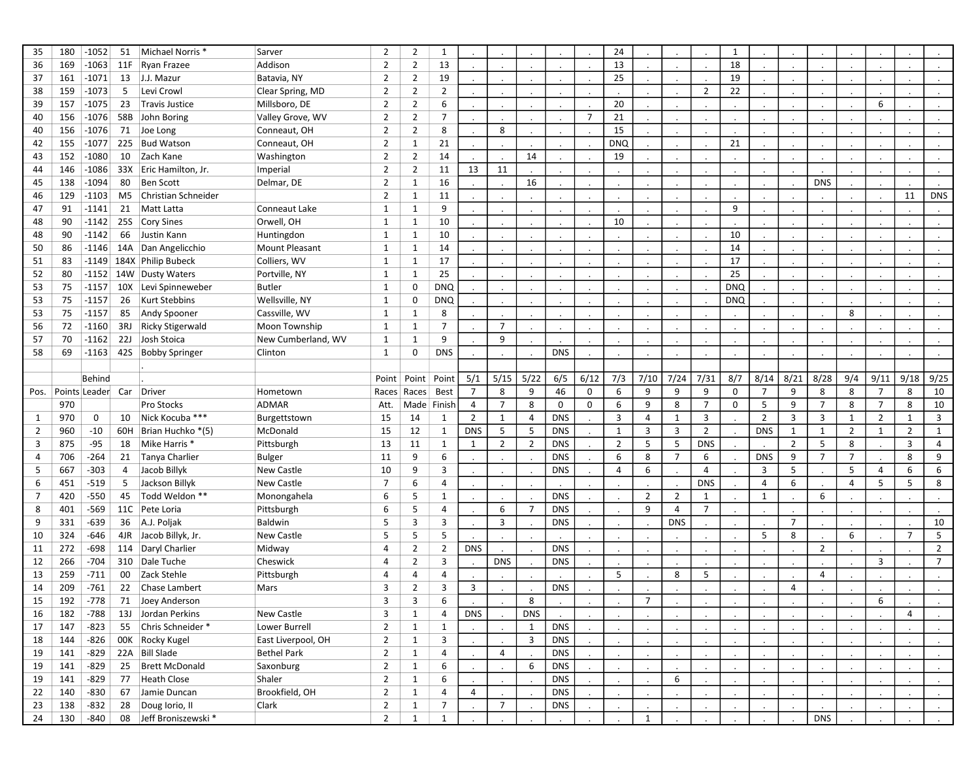| 35             | 180 | $-1052$           | 51             | Michael Norris *           | Sarver             | 2              | $\overline{2}$ | 1              |                |                |                |            |                | 24             |                      |                |                | 1          |                |                |                |                |                |                      |                      |
|----------------|-----|-------------------|----------------|----------------------------|--------------------|----------------|----------------|----------------|----------------|----------------|----------------|------------|----------------|----------------|----------------------|----------------|----------------|------------|----------------|----------------|----------------|----------------|----------------|----------------------|----------------------|
| 36             | 169 | $-1063$           |                | 11F Ryan Frazee            | Addison            | $\overline{2}$ | $\overline{2}$ | 13             |                |                |                |            |                | 13             |                      |                |                | 18         |                |                |                |                |                |                      |                      |
| 37             | 161 | $-1071$           |                | 13 J.J. Mazur              | Batavia, NY        | $\overline{2}$ | $\overline{2}$ | 19             |                |                |                |            |                | 25             |                      |                |                | 19         |                |                |                |                |                |                      |                      |
| 38             | 159 | $-1073$           | 5              | Levi Crowl                 | Clear Spring, MD   | $\overline{2}$ | $\overline{2}$ | 2              |                |                |                |            |                |                |                      |                | $\overline{2}$ | 22         |                |                | $\cdot$        |                |                |                      |                      |
| 39             | 157 | $-1075$           | 23             | Travis Justice             | Millsboro, DE      | $\overline{2}$ | $\overline{2}$ | 6              |                |                |                |            |                | 20             |                      |                |                |            |                |                |                |                | 6              |                      |                      |
| 40             | 156 | $-1076$           |                | 58B John Boring            | Valley Grove, WV   | $\overline{2}$ | $\overline{2}$ | $\overline{7}$ |                |                |                |            | $\overline{7}$ | 21             |                      |                |                |            |                |                |                |                |                |                      |                      |
| 40             | 156 | $-1076$           |                | 71 Joe Long                | Conneaut, OH       | $\overline{2}$ | $\overline{2}$ | 8              |                | 8              |                |            |                | 15             |                      |                |                |            |                |                |                |                |                |                      |                      |
| 42             | 155 | $-1077$           |                | 225 Bud Watson             | Conneaut, OH       | $\overline{2}$ | $\mathbf{1}$   | 21             |                |                |                |            |                | <b>DNQ</b>     |                      |                |                | 21         |                |                |                |                |                |                      |                      |
| 43             | 152 | $-1080$           |                | 10 Zach Kane               | Washington         | 2              | $\overline{2}$ | 14             |                |                | 14             |            |                | 19             |                      |                |                |            |                |                |                |                |                |                      |                      |
| 44             | 146 | $-1086$           |                | 33X Eric Hamilton, Jr.     | Imperial           | $\overline{2}$ | $\overline{2}$ | 11             | 13             | 11             |                |            |                |                |                      |                |                |            |                |                |                |                |                |                      |                      |
| 45             | 138 | $-1094$           | 80             | <b>Ben Scott</b>           | Delmar, DE         | $\overline{2}$ | $\mathbf{1}$   | 16             |                |                | 16             |            |                |                | $\cdot$              |                |                |            |                |                | <b>DNS</b>     |                |                |                      |                      |
| 46             | 129 | $-1103$           |                | M5 Christian Schneider     |                    | $\overline{2}$ | $\mathbf{1}$   | 11             |                |                |                |            |                |                |                      |                |                |            |                |                |                |                |                | 11                   | <b>DNS</b>           |
| 47             | 91  | $-1141$           |                | 21 Matt Latta              | Conneaut Lake      | $\mathbf{1}$   | $\mathbf{1}$   | 9              |                |                |                |            |                |                |                      |                |                | 9          |                |                |                |                |                |                      |                      |
| 48             | 90  | $-1142$           |                | 25S Cory Sines             | Orwell, OH         | 1              | $\mathbf{1}$   | 10             |                |                |                |            |                | 10             |                      |                |                |            |                |                |                |                |                |                      |                      |
| 48             | 90  | $-1142$           | 66             | Justin Kann                | Huntingdon         | 1              | $\mathbf{1}$   | 10             |                |                |                |            |                |                |                      |                |                | 10         |                |                |                |                |                |                      |                      |
| 50             | 86  | -1146             |                | 14A Dan Angelicchio        | Mount Pleasant     | $\mathbf{1}$   | $\mathbf{1}$   | 14             |                |                |                |            |                |                |                      |                |                | 14         |                |                |                |                |                |                      |                      |
| 51             | 83  |                   |                | -1149 184X Philip Bubeck   | Colliers, WV       | 1              | $\mathbf{1}$   | 17             |                |                |                |            |                |                |                      |                |                | 17         |                |                |                |                |                |                      |                      |
| 52             | 80  |                   |                | -1152 14W Dusty Waters     | Portville, NY      | $\mathbf{1}$   | $\mathbf{1}$   | 25             |                |                |                |            |                |                |                      |                |                | 25         |                |                |                |                |                |                      |                      |
| 53             | 75  |                   |                | -1157 10X Levi Spinneweber | Butler             | 1              | 0              | <b>DNQ</b>     |                |                |                |            |                |                |                      |                |                | <b>DNQ</b> |                |                |                |                |                |                      |                      |
| 53             | 75  | $-1157$           | 26             | <b>Kurt Stebbins</b>       | Wellsville, NY     | $\mathbf{1}$   | 0              | <b>DNQ</b>     |                |                |                |            |                |                |                      |                |                | <b>DNQ</b> |                |                |                |                |                |                      |                      |
| 53             | 75  | $-1157$           | 85             | Andy Spooner               | Cassville, WV      | 1              | $\mathbf{1}$   | 8              |                |                |                |            |                |                |                      |                |                |            |                |                |                | 8              |                |                      |                      |
| 56             | 72  | $-1160$           |                | 3RJ Ricky Stigerwald       | Moon Township      | 1              | $\mathbf{1}$   | $\overline{7}$ |                | $\overline{7}$ |                |            |                |                |                      |                |                |            |                |                |                |                |                |                      |                      |
| 57             | 70  | $-1162$           |                | 22J Josh Stoica            | New Cumberland, WV | 1              | $\mathbf{1}$   | 9              |                | 9              |                |            |                |                |                      |                |                |            |                |                |                |                |                |                      |                      |
| 58             | 69  | $-1163$           |                | 42S Bobby Springer         | Clinton            | $\mathbf{1}$   | 0              | <b>DNS</b>     |                |                |                | <b>DNS</b> |                |                |                      |                |                |            |                |                |                |                |                |                      |                      |
|                |     |                   |                |                            |                    |                |                |                |                |                |                |            |                |                |                      |                |                |            |                |                |                |                |                |                      |                      |
|                |     | Behind            |                |                            |                    | Point          | Point          | Point          | 5/1            | 5/15           | 5/22           | 6/5        | 6/12           | 7/3            | 7/10                 | 7/24           | 7/31           | 8/7        | 8/14           | 8/21           | 8/28           | 9/4            | 9/11           | 9/18                 | 9/25                 |
| Pos.           |     | Points Leader Car |                | Driver                     | Hometown           | Races          | Races          | <b>Best</b>    | $\overline{7}$ | 8              | 9              | 46         | 0              | 6              | 9                    | 9              | 9              | 0          | $\overline{7}$ | 9              | 8              | 8              | $\overline{7}$ | 8                    | 10                   |
|                | 970 |                   |                | Pro Stocks                 | <b>ADMAR</b>       | Att.           |                | Made Finish    | 4              | $\overline{7}$ | 8              | 0          | 0              | 6              | 9                    | 8              | $\overline{7}$ | 0          | 5              | 9              | $\overline{7}$ | 8              | $\overline{7}$ | 8                    | 10                   |
| 1              | 970 | 0                 | 10             | Nick Kocuba ***            | Burgettstown       | 15             | 14             | 1              | $\overline{2}$ | 1              | 4              | <b>DNS</b> |                | 3              | 4                    | $\mathbf{1}$   | 3              |            | $\overline{2}$ | 3              | 3              | $\mathbf{1}$   | $\overline{2}$ | $\mathbf{1}$         | 3                    |
| $\overline{2}$ | 960 | $-10$             |                | 60H Brian Huchko *(5)      | McDonald           | 15             | 12             | 1              | <b>DNS</b>     | 5              | 5              | <b>DNS</b> |                | $\mathbf{1}$   | $\overline{3}$       | $\overline{3}$ | $\overline{2}$ |            | <b>DNS</b>     | $\mathbf{1}$   | 1              | $\overline{2}$ | $\mathbf{1}$   | $\overline{2}$       | $\mathbf{1}$         |
| 3              | 875 | $-95$             |                | 18 Mike Harris *           | Pittsburgh         | 13             | 11             | $\mathbf{1}$   | 1              | $\overline{2}$ | $\overline{2}$ | <b>DNS</b> |                | $\overline{2}$ | 5                    | 5              | <b>DNS</b>     |            |                | $\overline{2}$ | 5              | 8              |                | 3                    | 4                    |
| 4              | 706 | $-264$            |                | 21 Tanya Charlier          | Bulger             | 11             | 9              | 6              |                |                |                | <b>DNS</b> |                | 6              | 8                    | $\overline{7}$ | 6              |            | <b>DNS</b>     | 9              | $\overline{7}$ | $\overline{7}$ |                | 8                    | 9                    |
| 5              | 667 | $-303$            | $\overline{4}$ | Jacob Billyk               | New Castle         | 10             | 9              | 3              |                |                |                | <b>DNS</b> |                | 4              | 6                    |                | 4              |            | 3              | 5              |                | 5              | $\overline{4}$ | 6                    | 6                    |
| 6              | 451 | $-519$            | 5              | Jackson Billyk             | New Castle         | $\overline{7}$ | 6              | 4              |                |                |                |            |                |                |                      |                | <b>DNS</b>     |            | 4              | 6              |                | 4              | 5              | 5                    | 8                    |
| $\overline{7}$ | 420 | $-550$            | 45             | Todd Weldon **             | Monongahela        | 6              | 5              | $\mathbf{1}$   |                |                |                | <b>DNS</b> |                |                | $\overline{2}$       | $\overline{2}$ | 1              |            | $\mathbf{1}$   |                | 6              |                |                |                      |                      |
| 8              | 401 | $-569$            |                | 11C Pete Loria             | Pittsburgh         | 6              | 5              | 4              |                | 6              | $\overline{7}$ | <b>DNS</b> |                |                | 9                    | $\overline{4}$ | $\overline{7}$ |            |                |                |                |                |                |                      |                      |
| 9              | 331 | $-639$            |                | 36 A.J. Poljak             | Baldwin            | 5              | 3              | 3              |                | 3              |                | <b>DNS</b> | $\cdot$        |                |                      | <b>DNS</b>     |                | $\cdot$    |                | $\overline{7}$ | $\cdot$        |                |                | $\cdot$              | 10                   |
| 10             | 324 | -646              |                | 4JR Jacob Billyk, Jr.      | New Castle         | 5              | 5              | 5              |                |                |                |            |                |                |                      |                |                |            | 5              | 8              |                | 6              |                | $\overline{7}$       | 5                    |
| 11             | 272 | -698              |                | 114 Daryl Charlier         | Midway             | 4              | $\overline{2}$ | $\overline{2}$ | <b>DNS</b>     |                |                | <b>DNS</b> |                |                |                      |                |                |            |                |                | 2              |                |                |                      | $\overline{2}$       |
| 12             | 266 | -704              |                | 310 Dale Tuche             | Cheswick           | 4              | $\overline{2}$ | 3              |                | <b>DNS</b>     |                | <b>DNS</b> |                |                |                      |                |                |            |                |                |                |                | 3              |                      | $\overline{7}$       |
| 13             | 259 | $-711$            | 00             | Zack Stehle                | Pittsburgh         | 4              | 4              | 4              |                |                |                |            |                | 5              |                      | 8              | 5              |            |                |                | 4              |                |                |                      |                      |
| 14             | 209 | $-761$            |                | 22 Chase Lambert           | Mars               | 3              | $\overline{2}$ | 3              | 3              |                |                | <b>DNS</b> |                |                |                      |                |                |            |                | 4              |                |                |                |                      |                      |
| 15             | 192 | $-778$            |                | 71 Joey Anderson           |                    | 3              | 3              | 6              |                |                | 8              |            |                |                | 7                    |                |                |            |                |                |                |                | 6              |                      |                      |
| 16             | 182 | -788              |                | 13J Jordan Perkins         | New Castle         | 3              | $\mathbf{1}$   | 4              | <b>DNS</b>     |                | <b>DNS</b>     |            |                |                |                      |                |                |            |                |                |                |                |                | $\overline{4}$       |                      |
| 17             | 147 | $-823$            |                | 55 Chris Schneider *       | Lower Burrell      | $\overline{2}$ | $\mathbf{1}$   | $\mathbf{1}$   |                |                | 1              | <b>DNS</b> |                |                |                      |                |                |            |                |                |                |                |                |                      |                      |
| 18             | 144 | $-826$            |                | OOK Rocky Kugel            | East Liverpool, OH | $\overline{2}$ | $\mathbf{1}$   | 3              |                |                | 3              | <b>DNS</b> |                |                |                      |                |                | $\cdot$    |                |                | $\mathcal{L}$  |                |                | $\ddot{\phantom{a}}$ | $\sim$               |
| 19             | 141 | $-829$            |                | 22A Bill Slade             | <b>Bethel Park</b> | $\overline{2}$ | $\mathbf{1}$   | 4              |                | 4              |                | <b>DNS</b> |                |                |                      |                |                |            |                |                |                |                |                |                      |                      |
| 19             | 141 | $-829$            |                | 25 Brett McDonald          | Saxonburg          | $\overline{2}$ | $\mathbf{1}$   | 6              |                |                | 6              | <b>DNS</b> |                |                | $\ddot{\phantom{a}}$ |                |                | $\cdot$    |                |                | $\cdot$        |                |                | $\ddot{\phantom{a}}$ | $\ddot{\phantom{a}}$ |
| 19             | 141 | $-829$            |                | 77 Heath Close             | Shaler             | $\overline{2}$ | $\mathbf{1}$   | 6              |                |                |                | <b>DNS</b> |                |                |                      | 6              |                |            |                |                |                |                |                |                      |                      |
| 22             | 140 | -830              |                | 67 Jamie Duncan            | Brookfield, OH     | $\overline{2}$ | $\mathbf{1}$   | 4              | $\overline{4}$ |                |                | <b>DNS</b> |                |                |                      |                |                | $\cdot$    |                |                | $\sim$         |                |                | $\sim$               | $\sim$               |
| 23             | 138 | $-832$            |                | 28 Doug lorio, II          | Clark              | $\overline{2}$ | $\mathbf{1}$   | $\overline{7}$ |                | $\overline{7}$ |                | <b>DNS</b> |                |                |                      |                |                |            |                |                |                |                |                |                      | $\sim$               |
| 24             | 130 | $-840$            |                | 08 Jeff Broniszewski *     |                    | $\overline{2}$ | $\mathbf{1}$   | $\mathbf{1}$   |                |                |                |            |                |                | $\mathbf{1}$         |                |                |            |                |                | <b>DNS</b>     |                |                |                      |                      |
|                |     |                   |                |                            |                    |                |                |                |                |                |                |            |                |                |                      |                |                |            |                |                |                |                |                |                      |                      |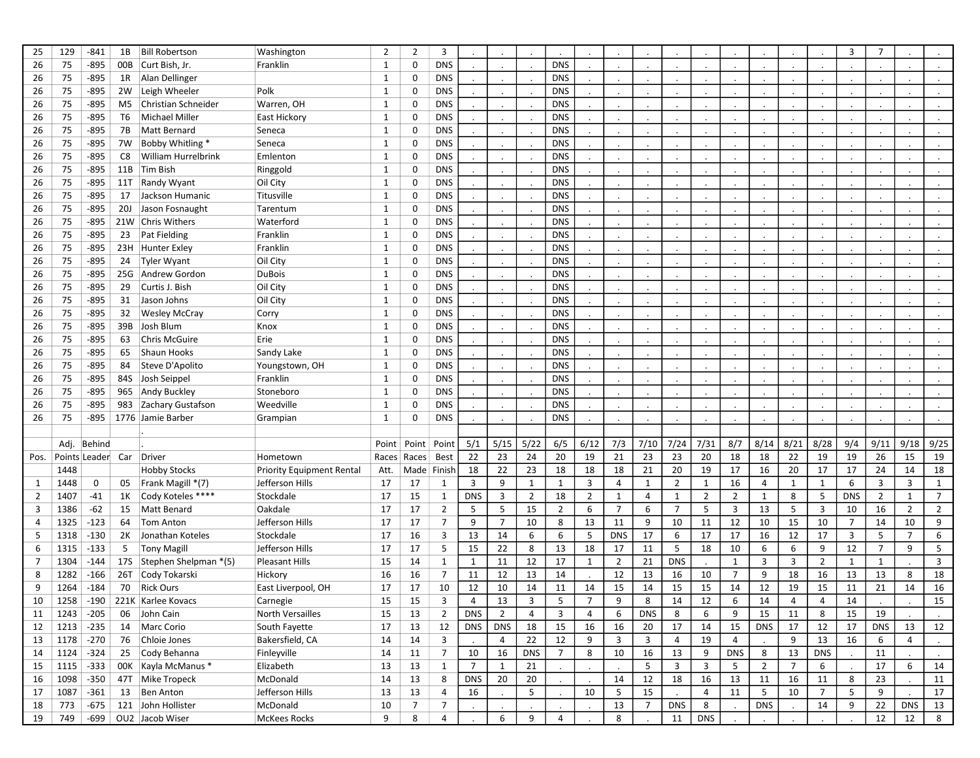| 25             | 129  | $-841$        | 1B  | <b>Bill Robertson</b>     | Washington                       | 2            | $\overline{2}$ | 3              |                |                |                |                 |                |                |                |                         |                |                |                |                |                      | 3              | $\overline{7}$ |                |                |
|----------------|------|---------------|-----|---------------------------|----------------------------------|--------------|----------------|----------------|----------------|----------------|----------------|-----------------|----------------|----------------|----------------|-------------------------|----------------|----------------|----------------|----------------|----------------------|----------------|----------------|----------------|----------------|
| 26             | 75   | -895          |     | 00B Curt Bish, Jr.        | Franklin                         | 1            | 0              | <b>DNS</b>     |                |                |                | <b>DNS</b>      |                |                |                |                         |                |                |                |                |                      |                |                |                |                |
| 26             | 75   | $-895$        |     | 1R Alan Dellinger         |                                  | $\mathbf{1}$ | 0              | <b>DNS</b>     |                |                |                | <b>DNS</b>      |                |                |                |                         |                |                |                |                |                      |                |                |                |                |
| 26             | 75   | $-895$        |     | 2W Leigh Wheeler          | Polk                             | $\mathbf{1}$ | 0              | <b>DNS</b>     |                |                |                | <b>DNS</b>      |                |                |                |                         |                |                |                |                | $\ddot{\phantom{a}}$ |                |                |                |                |
| 26             | 75   | $-895$        |     | M5 Christian Schneider    | Warren, OH                       | $\mathbf{1}$ | 0              | <b>DNS</b>     |                |                |                | <b>DNS</b>      |                |                |                |                         |                |                |                |                |                      |                |                |                |                |
| 26             | 75   | $-895$        | T6  | Michael Miller            | East Hickory                     | $\mathbf{1}$ | 0              | <b>DNS</b>     |                |                |                | <b>DNS</b>      |                |                |                |                         |                |                |                |                |                      |                |                |                |                |
| 26             | 75   | $-895$        | 7B  | <b>Matt Bernard</b>       | Seneca                           | $\mathbf{1}$ | 0              | <b>DNS</b>     |                |                |                | <b>DNS</b>      |                |                |                |                         |                |                |                |                |                      |                |                |                |                |
| 26             | 75   | $-895$        | 7W  | Bobby Whitling *          | Seneca                           | $\mathbf{1}$ | 0              | <b>DNS</b>     |                |                |                | <b>DNS</b>      |                |                |                |                         |                |                |                |                |                      |                |                |                |                |
| 26             | 75   | $-895$        | C8  | William Hurrelbrink       | Emlenton                         | $\mathbf{1}$ | 0              | <b>DNS</b>     |                |                |                | <b>DNS</b>      |                |                |                |                         |                |                |                |                |                      |                |                |                |                |
| 26             | 75   | $-895$        |     | 11B Tim Bish              | Ringgold                         | $\mathbf{1}$ | 0              | <b>DNS</b>     |                |                |                | <b>DNS</b>      |                |                |                |                         |                |                |                |                |                      |                |                |                |                |
| 26             | 75   | $-895$        |     | 11T Randy Wyant           | Oil City                         | $\mathbf{1}$ | 0              | <b>DNS</b>     |                |                |                | <b>DNS</b>      |                |                |                |                         |                |                |                |                |                      |                |                |                |                |
| 26             | 75   | $-895$        |     | 17 Jackson Humanic        | Titusville                       | 1            | 0              | <b>DNS</b>     |                |                |                | <b>DNS</b>      |                |                | $\cdot$        |                         |                | $\cdot$        |                |                |                      |                |                |                |                |
| 26             | 75   | $-895$        |     | 20J Jason Fosnaught       | Tarentum                         | $\mathbf{1}$ | 0              | <b>DNS</b>     |                |                |                | <b>DNS</b>      |                |                |                |                         |                |                |                |                |                      |                |                |                |                |
| 26             | 75   | -895          |     | 21W Chris Withers         | Waterford                        | $\mathbf{1}$ | 0              | <b>DNS</b>     |                |                |                | <b>DNS</b>      |                |                |                |                         |                |                |                |                |                      |                |                |                |                |
| 26             | 75   | $-895$        |     | 23 Pat Fielding           | Franklin                         | 1            | 0              | <b>DNS</b>     |                |                |                | <b>DNS</b>      |                |                |                |                         |                |                |                |                |                      |                |                |                |                |
| 26             | 75   | -895          |     | 23H Hunter Exley          | Franklin                         | $\mathbf{1}$ | 0              | <b>DNS</b>     |                |                |                | <b>DNS</b>      |                |                |                |                         |                |                |                |                |                      |                |                |                |                |
| 26             | 75   | $-895$        |     | 24 Tyler Wyant            | Oil City                         | 1            | 0              | <b>DNS</b>     |                |                |                | <b>DNS</b>      |                |                |                |                         |                |                |                |                |                      |                |                |                |                |
| 26             | 75   | -895          |     | 25G Andrew Gordon         | <b>DuBois</b>                    | $\mathbf{1}$ | 0              | <b>DNS</b>     |                |                |                | <b>DNS</b>      |                |                |                |                         |                |                |                |                |                      |                |                |                |                |
| 26             | 75   | $-895$        | 29  | Curtis J. Bish            | Oil City                         | $\mathbf{1}$ | 0              | <b>DNS</b>     |                |                |                | <b>DNS</b>      |                |                |                |                         |                |                |                |                |                      |                |                |                |                |
| 26             | 75   | $-895$        | 31  | Jason Johns               | Oil City                         | 1            | 0              | <b>DNS</b>     |                |                |                | <b>DNS</b>      |                |                |                |                         |                |                |                |                |                      |                |                |                |                |
| 26             | 75   | $-895$        |     | 32 Wesley McCray          | Corry                            | $\mathbf{1}$ | 0              | <b>DNS</b>     |                |                |                | <b>DNS</b>      |                |                |                |                         |                |                |                |                |                      |                |                |                |                |
| 26             | 75   | $-895$        |     | 39B Josh Blum             | Knox                             | $\mathbf{1}$ | 0              | <b>DNS</b>     |                |                |                | <b>DNS</b>      |                |                |                |                         |                |                |                |                |                      |                |                |                |                |
| 26             | 75   | $-895$        | 63  | <b>Chris McGuire</b>      | Erie                             | $\mathbf{1}$ | 0              | <b>DNS</b>     |                |                |                | <b>DNS</b>      |                |                |                |                         |                |                |                |                |                      |                |                |                |                |
| 26             | 75   | $-895$        | 65  | Shaun Hooks               | Sandy Lake                       | 1            | 0              | <b>DNS</b>     |                |                |                | <b>DNS</b>      |                |                |                |                         |                |                |                |                |                      |                |                |                |                |
| 26             | 75   | $-895$        |     | 84 Steve D'Apolito        | Youngstown, OH                   | $\mathbf{1}$ | 0              | <b>DNS</b>     |                |                |                | <b>DNS</b>      |                |                |                |                         |                |                |                |                |                      |                |                |                |                |
| 26             | 75   | $-895$        |     | 84S Josh Seippel          | Franklin                         | $\mathbf{1}$ | 0              | <b>DNS</b>     |                |                |                | <b>DNS</b>      |                |                |                |                         |                |                |                |                |                      |                |                |                |                |
| 26             | 75   | -895          |     | 965 Andy Buckley          | Stoneboro                        | 1            | 0              | <b>DNS</b>     |                |                |                | <b>DNS</b>      |                |                |                |                         |                |                |                |                |                      |                |                |                |                |
| 26             | 75   | $-895$        |     | 983 Zachary Gustafson     | Weedville                        | $\mathbf{1}$ | 0              | <b>DNS</b>     |                |                |                | <b>DNS</b>      |                |                |                |                         |                |                |                |                |                      |                |                |                |                |
| 26             | 75   | -895          |     | 1776 Jamie Barber         | Grampian                         | 1            | 0              | <b>DNS</b>     |                |                |                | <b>DNS</b>      |                |                |                |                         |                | $\cdot$        |                |                | $\ddot{\phantom{a}}$ |                |                |                |                |
|                |      |               |     |                           |                                  |              |                |                |                |                |                |                 |                |                |                |                         |                |                |                |                |                      |                |                |                |                |
|                |      | Adj. Behind   |     |                           |                                  | Point        | Point          | Point          | 5/1            | 5/15           | 5/22           | 6/5             | 6/12           | 7/3            | 7/10           | 7/24                    | 7/31           | 8/7            | 8/14           | 8/21           | 8/28                 | 9/4            | 9/11           | 9/18           | 9/25           |
| Pos.           |      | Points Leader | Car | Driver                    | Hometown                         | Races        | Races          | <b>Best</b>    | 22             | 23             | 24             | 20              | 19             | 21             | 23             | 23                      | 20             | 18             | 18             | 22             | 19                   | 19             | 26             | 15             | 19             |
|                | 1448 |               |     | <b>Hobby Stocks</b>       | <b>Priority Equipment Rental</b> | Att.         | Made Finish    |                | 18             | 22             | 23             | 18              | 18             | 18             | 21             | 20                      | 19             | 17             | 16             | 20             | 17                   | 17             | 24             | 14             | 18             |
| 1              | 1448 | 0             | 05  | Frank Magill *(7)         | Jefferson Hills                  | 17           | 17             | 1              | 3              | 9              | $\mathbf{1}$   | $\mathbf{1}$    | 3              | 4              | 1              | 2                       | 1              | 16             | 4              | 1              | $\mathbf{1}$         | 6              | 3              | 3              | $\mathbf{1}$   |
| $\overline{2}$ | 1407 | $-41$         |     | 1K Cody Koteles ****      | Stockdale                        | 17           | 15             | $\mathbf{1}$   | <b>DNS</b>     | 3              | 2              | 18              | $\overline{2}$ | 1              | $\overline{4}$ | $\mathbf{1}$            | $\overline{2}$ | $\overline{2}$ | 1              | 8              | 5                    | <b>DNS</b>     | $\overline{2}$ | $\mathbf{1}$   | $\overline{7}$ |
| 3              | 1386 | $-62$         | 15  | Matt Benard               | Oakdale                          | 17           | 17             | $\overline{2}$ | 5              | 5              | 15             | $\overline{2}$  | 6              | $\overline{7}$ | 6              | $\overline{7}$          | 5              | 3              | 13             | 5              | 3                    | 10             | 16             | $\overline{2}$ | $\overline{2}$ |
| 4              | 1325 | $-123$        | 64  | Tom Anton                 | Jefferson Hills                  | 17           | 17             | $\overline{7}$ | 9              | $\overline{7}$ | 10             | 8               | 13             | 11             | 9              | 10                      | 11             | 12             | 10             | 15             | 10                   | $\overline{7}$ | 14             | 10             | 9              |
| 5              | 1318 | $-130$        |     | 2K Jonathan Koteles       | Stockdale                        | 17           | 16             | 3              | 13             | 14             | 6              | 6               | -5             | <b>DNS</b>     | 17             | 6                       | 17             | 17             | 16             | 12             | 17                   | 3              | 5              | $\overline{7}$ | 6              |
| 6              | 1315 | $-133$        | 5   | <b>Tony Magill</b>        | Jefferson Hills                  | 17           | 17             | 5              | 15             | 22             | 8              | 13              | 18             | 17             | 11             | 5                       | 18             | 10             | 6              | 6              | 9                    | 12             | $\overline{7}$ | 9              | 5              |
| $\overline{7}$ | 1304 | -144          |     | 17S Stephen Shelpman *(5) | <b>Pleasant Hills</b>            | 15           | 14             | $\mathbf{1}$   | $\mathbf{1}$   | 11             | 12             | 17              | 1              | 2              | 21             | <b>DNS</b>              |                | $\mathbf{1}$   | 3              | 3              | $\overline{2}$       | 1              | $\mathbf{1}$   |                | 3              |
| 8              | 1282 | $-166$        |     | 26T Cody Tokarski         | Hickory                          | 16           | 16             | $\overline{7}$ | 11             | 12             | 13             | 14              |                | 12             | 13             | 16                      | 10             | $\overline{7}$ | 9              | 18             | 16                   | 13             | 13             | 8              | 18             |
| 9              | 1264 | $-184$        | 70  | Rick Ours                 | East Liverpool, OH               | 17           | 17             | 10             | 12             | 10             | 14             | 11              | 14             | 15             | 14             | 15                      | 15             | 14             | 12             | 19             | 15                   | 11             | 21             | 14             | 16             |
| 10             | 1258 | $-190$        |     | 221K Karlee Kovacs        | Carnegie                         | 15           | 15             | 3              | 4              | 13             | 3              | $\overline{5}$  |                | 9              | 8              | 14                      | 12             | 6              | 14             | 4              | 4                    | 14             |                |                | 15             |
| 11             | 1243 | $-205$        |     | 06 John Cain              | <b>North Versailles</b>          | 15           | 13             | $\overline{2}$ | <b>DNS</b>     | $\overline{2}$ | $\overline{4}$ | $\overline{3}$  | $\overline{4}$ | 6              | <b>DNS</b>     | 8                       | 6              | 9              | 15             | 11             | 8                    | 15             | 19             |                |                |
| 12             | 1213 | $-235$        |     | 14 Marc Corio             | South Fayette                    | 17           | 13             | 12             | <b>DNS</b>     | <b>DNS</b>     | 18             | 15              | 16             | 16             | 20             | 17                      | 14             | 15             | <b>DNS</b>     | 17             | 12                   | 17             | <b>DNS</b>     | 13             | 12             |
| 13             | 1178 | $-270$        |     | 76 Chloie Jones           | Bakersfield, CA                  | 14           | 14             | 3              |                | $\overline{4}$ | 22             | 12              | 9              | 3              | 3              | $\overline{4}$          | 19             | $\overline{4}$ |                | 9              | 13                   | 16             | 6              | $\overline{a}$ |                |
| 14             | 1124 | $-324$        |     | 25 Cody Behanna           | Finleyville                      | 14           | 11             | $\overline{7}$ | 10             | 16             | <b>DNS</b>     | $7\overline{ }$ | 8              | 10             | 16             | 13                      | 9              | <b>DNS</b>     | 8              | 13             | <b>DNS</b>           |                | 11             |                |                |
| 15             | 1115 | $-333$        |     | 00K Kayla McManus *       | Elizabeth                        | 13           | 13             | $\mathbf{1}$   | $\overline{7}$ | 1              | 21             |                 |                |                | 5              | $\overline{\mathbf{3}}$ | 3              | 5              | $\overline{2}$ | $\overline{7}$ | 6                    |                | 17             | 6              | 14             |
| 16             | 1098 | $-350$        |     | 47T Mike Tropeck          | McDonald                         | 14           | 13             | 8              | <b>DNS</b>     | 20             | 20             |                 |                | 14             | 12             | 18                      | 16             | 13             | 11             | 16             | 11                   | 8              | 23             |                | 11             |
| 17             | 1087 | -361          |     | 13 Ben Anton              | Jefferson Hills                  | 13           | 13             | 4              | 16             |                | 5              |                 | 10             | 5              | 15             |                         | $\overline{4}$ | 11             | 5              | 10             | $\overline{7}$       | 5              | 9              |                | 17             |
| 18             | 773  | $-675$        |     | 121 John Hollister        | McDonald                         | 10           | 7              | $\overline{7}$ |                |                |                |                 |                | 13             | 7              | <b>DNS</b>              | 8              |                | <b>DNS</b>     |                | 14                   | 9              | 22             | <b>DNS</b>     | 13             |
| 19             | 749  |               |     | -699 OU2 Jacob Wiser      | <b>McKees Rocks</b>              | 9            | 8              | $\overline{4}$ |                | 6              | 9              | $\overline{4}$  |                | 8              |                | 11                      | <b>DNS</b>     |                |                |                |                      |                | 12             | 12             | 8              |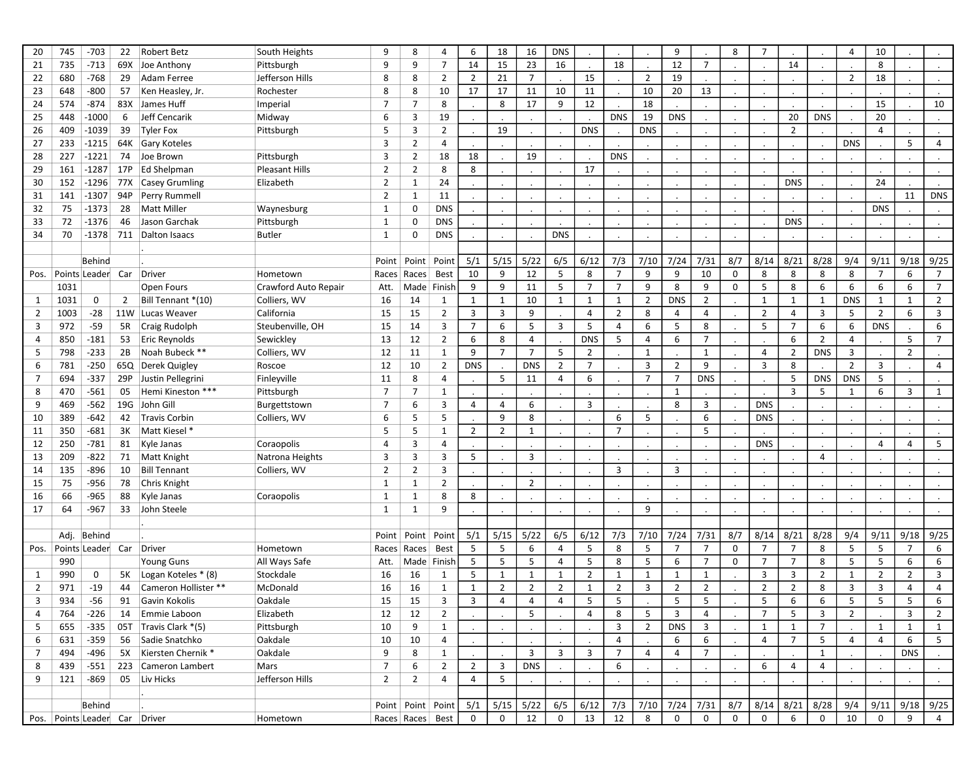| 20             | 745                           | $-703$            | 22             | Robert Betz           | South Heights         | 9              | 8                 | 4              | 6              | 18                      | 16             | <b>DNS</b>     |                |                |                | 9              |                | 8              | $\overline{7}$ |                |                | $\overline{4}$ | 10             |                |                |
|----------------|-------------------------------|-------------------|----------------|-----------------------|-----------------------|----------------|-------------------|----------------|----------------|-------------------------|----------------|----------------|----------------|----------------|----------------|----------------|----------------|----------------|----------------|----------------|----------------|----------------|----------------|----------------|----------------|
| 21             | 735                           | $-713$            |                | 69X Joe Anthony       | Pittsburgh            | 9              | 9                 | $\overline{7}$ | 14             | 15                      | 23             | 16             |                | 18             |                | 12             | $\overline{7}$ |                |                | 14             |                |                | 8              |                |                |
| 22             | 680                           | $-768$            | 29             | Adam Ferree           | Jefferson Hills       | 8              | 8                 | 2              | 2              | 21                      | $\overline{7}$ |                | 15             |                | 2              | 19             |                |                |                |                |                | 2              | 18             |                |                |
| 23             | 648                           | $-800$            | 57             | Ken Heasley, Jr.      | Rochester             | 8              | 8                 | 10             | 17             | 17                      | 11             | 10             | 11             |                | 10             | 20             | 13             | $\cdot$        |                |                |                |                |                |                |                |
| 24             | 574                           | $-874$            |                | 83X James Huff        | Imperial              | $\overline{7}$ | 7                 | 8              |                | 8                       | 17             | 9              | 12             |                | 18             |                |                |                |                |                |                |                | 15             |                | 10             |
| 25             | 448                           | $-1000$           | 6              | Jeff Cencarik         | Midway                | 6              | 3                 | 19             |                |                         |                |                |                | <b>DNS</b>     | 19             | <b>DNS</b>     |                |                |                | 20             | <b>DNS</b>     |                | 20             |                |                |
| 26             | 409                           | $-1039$           | 39             | <b>Tyler Fox</b>      | Pittsburgh            | 5              | 3                 | $\overline{2}$ |                | 19                      |                |                | <b>DNS</b>     |                | <b>DNS</b>     |                |                |                |                | $\overline{2}$ |                |                | 4              |                |                |
| 27             | 233                           | $-1215$           |                | 64K Gary Koteles      |                       | 3              | $\overline{2}$    | 4              |                |                         |                |                |                |                |                |                |                |                |                |                |                | <b>DNS</b>     |                | 5              | 4              |
| 28             | 227                           | $-1221$           | 74             | Joe Brown             | Pittsburgh            | 3              | $\overline{2}$    | 18             | 18             |                         | 19             |                |                | <b>DNS</b>     |                |                |                |                |                |                |                |                |                |                |                |
| 29             | 161                           | $-1287$           |                | 17P Ed Shelpman       | <b>Pleasant Hills</b> | $\overline{2}$ | $\overline{2}$    | 8              | 8              |                         |                |                | 17             |                |                |                |                |                |                |                |                |                |                |                |                |
| 30             | 152                           | $-1296$           |                | 77X Casey Grumling    | Elizabeth             | $\overline{2}$ | $\mathbf{1}$      | 24             |                |                         |                |                |                |                |                |                |                |                |                | <b>DNS</b>     |                |                | 24             |                |                |
| 31             | 141                           | $-1307$           | 94P            | Perry Rummell         |                       | $\overline{2}$ | $\mathbf{1}$      | 11             |                |                         |                |                |                |                |                |                |                |                |                |                |                |                |                | 11             | <b>DNS</b>     |
| 32             | 75                            | $-1373$           | 28             | <b>Matt Miller</b>    | Waynesburg            | $\mathbf{1}$   | 0                 | <b>DNS</b>     |                |                         |                |                |                |                |                |                |                |                |                |                |                |                | <b>DNS</b>     |                |                |
| 33             | 72                            | $-1376$           | 46             | Jason Garchak         | Pittsburgh            | 1              | 0                 | <b>DNS</b>     |                |                         |                |                |                |                |                |                |                |                |                | <b>DNS</b>     |                |                |                |                |                |
| 34             | 70                            | $-1378$           |                | 711 Dalton Isaacs     | <b>Butler</b>         | $\mathbf{1}$   | $\Omega$          | <b>DNS</b>     |                |                         |                | <b>DNS</b>     |                |                |                |                |                |                |                |                |                |                |                |                |                |
|                |                               |                   |                |                       |                       |                |                   |                |                |                         |                |                |                |                |                |                |                |                |                |                |                |                |                |                |                |
|                |                               | Behind            |                |                       |                       | Point          |                   | Point   Point  | 5/1            | 5/15                    | 5/22           | 6/5            | 6/12           | 7/3            | 7/10           | 7/24           | 7/31           | 8/7            | 8/14           | 8/21           | 8/28           | 9/4            | 9/11           | 9/18           | 9/25           |
| Pos.           |                               | Points Leader Car |                | Driver                | Hometown              | Races          | Races             | <b>Best</b>    | 10             | 9                       | 12             | 5              | 8              | $\overline{7}$ | 9              | 9              | 10             | $\mathbf 0$    | 8              | 8              | 8              | 8              | $\overline{7}$ | 6              | $\overline{7}$ |
|                | 1031                          |                   |                | Open Fours            | Crawford Auto Repair  | Att.           |                   | Made Finish    | 9              | 9                       | 11             | 5              | $\overline{7}$ | $\overline{7}$ | 9              | 8              | 9              | 0              | 5              | 8              | 6              | 6              | 6              | 6              | $\overline{7}$ |
| 1              | 1031                          | 0                 | $\overline{2}$ | Bill Tennant *(10)    | Colliers, WV          | 16             | 14                | 1              | $\mathbf{1}$   | 1                       | 10             | $\mathbf{1}$   | 1              | 1              | $\overline{2}$ | <b>DNS</b>     | $\overline{2}$ |                | 1              | $\mathbf{1}$   | 1              | <b>DNS</b>     | 1              | 1              | $\overline{2}$ |
| 2              | 1003                          | $-28$             |                | 11W Lucas Weaver      | California            | 15             | 15                | $\overline{2}$ | 3              | 3                       | 9              |                | $\overline{4}$ | $\overline{2}$ | 8              | 4              | 4              | $\blacksquare$ | $\overline{2}$ | 4              | 3              | 5              | $\overline{2}$ | 6              | $\overline{3}$ |
| 3              | 972                           | $-59$             | 5R             | Craig Rudolph         | Steubenville, OH      | 15             | 14                | 3              | $\overline{7}$ | 6                       | 5              | $\overline{3}$ | 5              | 4              | 6              | 5              | 8              |                | 5              | $\overline{7}$ | 6              | 6              | <b>DNS</b>     |                | 6              |
| 4              | 850                           | $-181$            | 53             | <b>Eric Reynolds</b>  | Sewickley             | 13             | 12                | $\overline{2}$ | 6              | 8                       | $\overline{4}$ |                | <b>DNS</b>     | 5              | 4              | 6              | $\overline{7}$ |                |                | 6              | $\overline{2}$ | $\overline{4}$ |                | 5              | $\overline{7}$ |
| 5              | 798                           | $-233$            | 2B             | Noah Bubeck **        | Colliers, WV          | 12             | 11                | 1              | 9              | $\overline{7}$          | $\overline{7}$ | 5              | $\overline{2}$ |                | $\mathbf{1}$   |                | 1              |                | 4              | $\overline{2}$ | <b>DNS</b>     | 3              |                | $\overline{2}$ |                |
| 6              | 781                           | $-250$            |                | 65Q Derek Quigley     | Roscoe                | 12             | 10                | 2              | <b>DNS</b>     |                         | <b>DNS</b>     | $\overline{2}$ | $\overline{7}$ |                | 3              | 2              | 9              |                | 3              | 8              |                | $\overline{2}$ | 3              |                | 4              |
| $\overline{7}$ | 694                           | $-337$            |                | 29P Justin Pellegrini | Finleyville           | 11             | 8                 | 4              |                | 5                       | 11             | $\overline{4}$ | 6              |                | $\overline{7}$ | $\overline{7}$ | <b>DNS</b>     |                |                | 5              | <b>DNS</b>     | <b>DNS</b>     | 5              |                |                |
| 8              | 470                           | $-561$            |                | 05 Hemi Kineston ***  | Pittsburgh            | $\overline{7}$ | $\overline{7}$    | 1              |                |                         |                |                |                |                |                | $\mathbf{1}$   |                |                |                | 3              | 5              | 1              | 6              | 3              | $\mathbf{1}$   |
| 9              | 469                           | $-562$            |                | 19G John Gill         | Burgettstown          | $\overline{7}$ | 6                 | 3              | 4              | 4                       | 6              |                | 3              |                |                | 8              | 3              |                | <b>DNS</b>     |                |                |                |                |                |                |
| 10             | 389                           | $-642$            | 42             | Travis Corbin         | Colliers, WV          | 6              | 5                 | 5              |                | 9                       | 8              |                |                | 6              | 5              |                | 6              |                | <b>DNS</b>     |                |                |                |                |                |                |
| 11             | 350                           | $-681$            | 3K             | Matt Kiesel *         |                       | 5              | 5                 | $\mathbf{1}$   | 2              | 2                       | 1              |                |                | $\overline{7}$ |                |                | 5              |                |                |                |                |                |                |                |                |
| 12             | 250                           | $-781$            | 81             | Kyle Janas            | Coraopolis            | $\overline{4}$ | 3                 | 4              |                |                         |                |                |                |                |                |                |                |                | <b>DNS</b>     |                |                |                | 4              | $\overline{4}$ | 5              |
| 13             | 209                           | $-822$            |                | 71 Matt Knight        | Natrona Heights       | 3              | 3                 | 3              | 5              |                         | 3              |                |                |                |                |                |                |                |                |                | 4              |                |                |                |                |
| 14             | 135                           | -896              | 10             | <b>Bill Tennant</b>   | Colliers, WV          | $\overline{2}$ | $\overline{2}$    | 3              |                |                         |                |                |                | 3              |                | 3              |                |                |                |                |                |                |                |                |                |
| 15             | 75                            | -956              | 78             | Chris Knight          |                       | $\mathbf{1}$   | $\mathbf{1}$      | $\overline{2}$ |                |                         | $\overline{2}$ |                |                |                |                |                |                |                |                |                |                |                |                |                |                |
| 16             | 66                            | -965              | 88             | Kyle Janas            | Coraopolis            | $\mathbf{1}$   | 1                 | 8              | 8              |                         |                |                |                |                |                |                |                |                |                |                |                |                |                |                |                |
| 17             | 64                            | $-967$            | 33             | John Steele           |                       | 1              | $\mathbf{1}$      | 9              |                |                         |                |                |                |                | 9              |                |                |                |                |                |                |                |                |                |                |
|                |                               |                   |                |                       |                       |                |                   |                |                |                         |                |                |                |                |                |                |                |                |                |                |                |                |                |                |                |
|                |                               | Adj. Behind       |                |                       |                       | Point          |                   | Point   Point  | 5/1            | 5/15                    | 5/22           | 6/5            | 6/12           | 7/3            | 7/10           | 7/24           | 7/31           | 8/7            | 8/14           | 8/21           | 8/28           | 9/4            | 9/11           | 9/18           | 9/25           |
| Pos.           |                               | Points Leader Car |                | Driver                | Hometown              | Races          | Races             | Best           | 5              | 5                       | 6              | 4              | 5              | 8              | 5              | $\overline{7}$ | $\overline{7}$ | $\mathbf 0$    | $\overline{7}$ | $\overline{7}$ | 8              | 5              | 5              | $\overline{7}$ | 6              |
|                | 990                           |                   |                | <b>Young Guns</b>     | All Ways Safe         | Att.           |                   | Made Finish    | 5              | 5                       | 5              | $\overline{4}$ | 5              | 8              | 5              | 6              | $\overline{7}$ | $\Omega$       | $\overline{7}$ | $\overline{7}$ | 8              | 5              | 5              | 6              | 6              |
| 1              | 990                           | 0                 | 5К             | Logan Koteles * (8)   | Stockdale             | 16             | 16                | 1              | 5              | $\mathbf{1}$            | $\mathbf{1}$   | $\mathbf{1}$   | $\overline{2}$ | 1              | $\mathbf{1}$   | 1              | $\mathbf{1}$   |                | 3              | 3              | $\overline{2}$ | $\mathbf{1}$   | $\overline{2}$ | $\overline{2}$ | 3              |
| 2              | 971                           | $-19$             | 44             | Cameron Hollister **  | McDonald              | 16             | 16                | 1              | $\mathbf{1}$   | $\overline{2}$          | $\overline{2}$ | $\overline{2}$ | $\mathbf{1}$   | $\overline{2}$ | 3              | $\overline{2}$ | $\overline{2}$ |                | $\overline{2}$ | $\overline{2}$ | 8              | 3              | 3              | $\overline{4}$ | $\overline{4}$ |
| 3              | 934                           | $-56$             | 91             | Gavin Kokolis         | Oakdale               | 15             | 15                | 3              | 3              | 4                       | 4              | 4              | 5              | -5             | $\sim$         | 5              | -5             | $\bullet$      | 5              | 6              | 6              | 5              | 5              | 5              | 6              |
| 4              | 764                           | -226              |                | 14 Emmie Laboon       | Elizabeth             | 12             | 12                | $\overline{2}$ |                |                         | 5              |                | $\overline{4}$ | 8              | 5              | 3              | 4              |                | $\overline{7}$ | 5              | 3              | $\overline{2}$ |                | 3              | $\overline{2}$ |
| 5              | 655                           | $-335$            |                | 05T Travis Clark *(5) | Pittsburgh            | 10             | 9                 | $\mathbf{1}$   |                |                         |                |                |                | 3              | $\overline{2}$ | <b>DNS</b>     | $\overline{3}$ |                | 1              | $\mathbf{1}$   | $\overline{7}$ |                | 1              | 1              | 1              |
| 6              | 631                           | $-359$            |                | 56 Sadie Snatchko     | Oakdale               | 10             | 10                | 4              | $\sim$         |                         |                |                |                | 4              |                | 6              | 6              | $\blacksquare$ | 4              | $\overline{7}$ | 5              | 4              | 4              | 6              | 5              |
| 7              | 494                           | -496              |                | 5X Kiersten Chernik * | Oakdale               | 9              | 8                 | $\mathbf{1}$   |                |                         | $\mathbf{3}$   | $\overline{3}$ | 3              | $\overline{7}$ | 4              | 4              | $\overline{7}$ |                |                |                | 1              |                |                | <b>DNS</b>     |                |
| 8              | 439                           | $-551$            |                | 223 Cameron Lambert   | Mars                  | $\overline{7}$ | 6                 | $\overline{2}$ | $\overline{2}$ | $\overline{\mathbf{3}}$ | <b>DNS</b>     |                |                | 6              |                |                |                | $\cdot$        | 6              | 4              | 4              |                |                |                |                |
| 9              | 121                           | -869              |                | 05 Liv Hicks          | Jefferson Hills       | $\overline{2}$ | $\overline{2}$    | 4              | 4              | 5                       |                |                |                |                |                |                |                |                |                |                |                |                |                |                |                |
|                |                               |                   |                |                       |                       |                |                   |                |                |                         |                |                |                |                |                |                |                |                |                |                |                |                |                |                |                |
|                |                               | Behind            |                |                       |                       |                | Point Point Point |                | 5/1            | 5/15                    | 5/22           | 6/5            | 6/12           | 7/3            |                | 7/10 7/24 7/31 |                | 8/7            | 8/14           | 8/21           | 8/28           | 9/4            | 9/11           | $9/18$ 9/25    |                |
|                | Pos. Points Leader Car Driver |                   |                |                       | Hometown              |                | Races Races Best  |                | $\mathbf 0$    | $\mathbf 0$             | 12             | $\mathbf 0$    | 13             | 12             | 8              | $\mathbf 0$    | $\mathbf 0$    | $\mathbf 0$    | $\mathbf 0$    | 6              | $\mathbf 0$    | 10             | $\mathbf 0$    | 9              | $\overline{4}$ |
|                |                               |                   |                |                       |                       |                |                   |                |                |                         |                |                |                |                |                |                |                |                |                |                |                |                |                |                |                |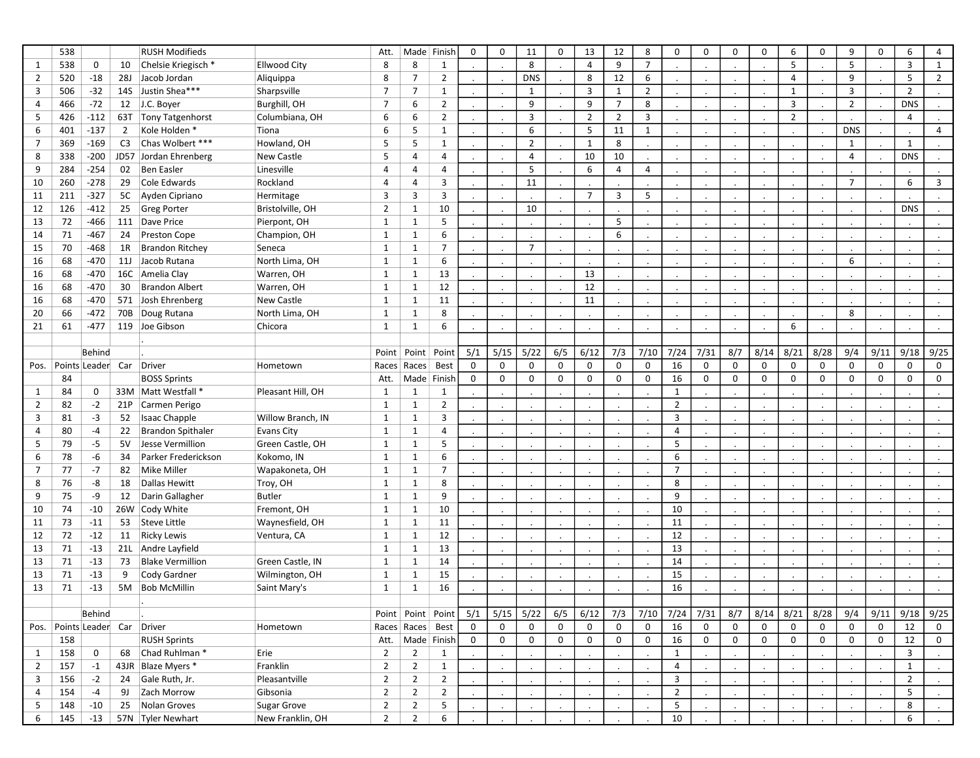|                | 538                      |             |                | <b>RUSH Modifieds</b>    |                     | Att.           |                  | Made Finish           | $\mathbf 0$   | 0           | 11             | 0           | 13             | 12             | 8              | $\mathbf 0$    | 0           | $\mathbf 0$          | $\mathbf 0$ | 6              | $\mathbf 0$          | 9              | $\mathbf 0$ | 6              | 4              |
|----------------|--------------------------|-------------|----------------|--------------------------|---------------------|----------------|------------------|-----------------------|---------------|-------------|----------------|-------------|----------------|----------------|----------------|----------------|-------------|----------------------|-------------|----------------|----------------------|----------------|-------------|----------------|----------------|
| 1              | 538                      | 0           | 10             | Chelsie Kriegisch*       | <b>Ellwood City</b> | 8              | 8                | 1                     |               |             | 8              |             | $\overline{4}$ | 9              | $\overline{7}$ |                |             |                      |             | 5              | $\blacksquare$       | 5              |             | $\overline{3}$ | $\mathbf{1}$   |
| 2              | 520                      | $-18$       | <b>28J</b>     | Jacob Jordan             | Aliquippa           | 8              | $\overline{7}$   | $\overline{2}$        |               |             | <b>DNS</b>     |             | 8              | 12             | 6              |                |             |                      |             | $\overline{4}$ |                      | 9              |             | 5              | $\overline{2}$ |
| 3              | 506                      | $-32$       |                | 14S Justin Shea***       | Sharpsville         | $\overline{7}$ | $\overline{7}$   | $\mathbf{1}$          | $\cdot$       |             | $\mathbf{1}$   |             | 3              | $\mathbf{1}$   | $\overline{2}$ |                |             | $\cdot$              |             | $\mathbf{1}$   | $\blacksquare$       | 3              |             | $\overline{2}$ |                |
| 4              | 466                      | $-72$       |                | 12 J.C. Boyer            | Burghill, OH        | $\overline{7}$ | 6                | $\overline{2}$        |               |             | 9              |             | 9              | $\overline{7}$ | 8              |                |             |                      |             | 3              |                      | $\overline{2}$ |             | <b>DNS</b>     |                |
| 5              | 426                      | $-112$      |                | 63T Tony Tatgenhorst     | Columbiana, OH      | 6              | 6                | $\overline{2}$        |               |             | 3              |             | $\overline{2}$ | $\overline{2}$ | $\overline{3}$ |                |             |                      |             | $\overline{2}$ |                      |                |             | $\overline{4}$ |                |
| 6              | 401                      | $-137$      | $\overline{2}$ | Kole Holden *            | Tiona               | 6              | 5                | $\mathbf{1}$          |               |             | 6              |             | 5              | 11             | $\mathbf{1}$   |                |             |                      |             |                | $\blacksquare$       | <b>DNS</b>     |             |                | $\overline{4}$ |
| 7              | 369                      | $-169$      | C <sub>3</sub> | Chas Wolbert ***         | Howland, OH         | 5              | 5                | 1                     |               |             | $\overline{2}$ |             | $\mathbf{1}$   | 8              |                |                |             |                      |             |                | $\blacksquare$       | 1              |             | $\mathbf{1}$   |                |
| 8              | 338                      | $-200$      |                | JD57 Jordan Ehrenberg    | New Castle          | 5              | $\overline{4}$   | 4                     |               |             | 4              |             | 10             | 10             |                |                |             |                      |             |                | $\blacksquare$       | $\overline{4}$ |             | <b>DNS</b>     |                |
| 9              | 284                      | $-254$      | 02             | Ben Easler               | Linesville          | $\overline{4}$ | $\overline{4}$   | 4                     |               |             | 5              |             | 6              | 4              | $\overline{4}$ |                |             |                      |             |                |                      |                |             | $\cdot$        |                |
| 10             | 260                      | $-278$      | 29             | Cole Edwards             | Rockland            | $\overline{4}$ | $\overline{4}$   | $\overline{3}$        |               |             | 11             |             |                |                |                |                |             |                      |             |                |                      | $\overline{7}$ |             | 6              | $\overline{3}$ |
| 11             | 211                      | $-327$      |                | 5C Ayden Cipriano        | Hermitage           | 3              | 3                | 3                     |               |             |                |             | $\overline{7}$ | 3              | 5              |                |             | $\ddot{\phantom{a}}$ |             |                | $\sim$               |                |             | $\cdot$        |                |
| 12             | 126                      | $-412$      | 25             | Greg Porter              | Bristolville, OH    | $\overline{2}$ | $\mathbf{1}$     | 10                    |               |             | 10             |             |                |                |                |                |             |                      |             |                |                      |                |             | <b>DNS</b>     |                |
| 13             | 72                       | $-466$      |                | 111 Dave Price           | Pierpont, OH        | $\mathbf{1}$   | $\mathbf{1}$     | 5                     |               |             |                |             |                | 5              |                |                |             |                      |             |                | $\cdot$              |                |             |                |                |
| 14             | 71                       | $-467$      |                | 24 Preston Cope          | Champion, OH        | $\mathbf{1}$   | $\mathbf{1}$     | 6                     |               |             |                |             |                | 6              |                |                |             |                      |             |                |                      |                |             |                |                |
| 15             | 70                       | -468        | 1R             | <b>Brandon Ritchey</b>   | Seneca              | $\mathbf{1}$   | $\mathbf{1}$     | $\overline{7}$        |               |             | $\overline{7}$ |             |                |                | $\cdot$        |                |             | $\cdot$              |             |                | $\sim$               |                |             | $\cdot$        |                |
| 16             | 68                       | -470        |                | 11J Jacob Rutana         | North Lima, OH      | $\mathbf{1}$   | $\mathbf{1}$     | 6                     |               |             |                |             |                |                |                |                |             |                      |             |                |                      | 6              |             |                |                |
| 16             | 68                       | -470        |                | 16C Amelia Clay          | Warren, OH          | $\mathbf{1}$   | $\mathbf{1}$     | 13                    |               |             |                |             | 13             |                |                |                |             |                      |             |                | $\cdot$              |                |             |                |                |
| 16             | 68                       | -470        | 30             | <b>Brandon Albert</b>    | Warren, OH          | $\mathbf{1}$   | $\mathbf{1}$     | 12                    |               |             |                |             | 12             |                |                |                |             |                      |             |                |                      |                |             |                |                |
| 16             | 68                       | -470        |                | 571 Josh Ehrenberg       | New Castle          | $\mathbf{1}$   | $\mathbf{1}$     | 11                    |               |             |                |             | 11             |                |                |                |             |                      |             |                |                      |                |             |                |                |
| 20             | 66                       | $-472$      |                | 70B Doug Rutana          | North Lima, OH      | $\mathbf{1}$   | $\mathbf{1}$     | 8                     |               |             |                |             |                |                |                |                |             |                      |             |                |                      | 8              |             |                |                |
| 21             | 61                       | $-477$      |                | 119 Joe Gibson           | Chicora             | $\mathbf{1}$   | $\mathbf{1}$     | 6                     |               |             |                |             |                |                |                |                |             |                      |             | 6              |                      |                |             |                |                |
|                |                          |             |                |                          |                     |                |                  |                       |               |             |                |             |                |                |                |                |             |                      |             |                |                      |                |             |                |                |
|                |                          | Behind      |                |                          |                     | Point          | Point            | Point                 | 5/1           | 5/15        | 5/22           | 6/5         | 6/12           | 7/3            | 7/10           | 7/24           | 7/31        | 8/7                  | 8/14        | 8/21           | 8/28                 | 9/4            | 9/11        | 9/18           | 9/25           |
| Pos.           |                          |             |                | Points Leader Car Driver | Hometown            |                | Races Races      | Best                  | $\mathbf 0$   | 0           | 0              | 0           | $\mathbf 0$    | 0              | 0              | 16             | $\mathbf 0$ | 0                    | $\mathbf 0$ | $\mathbf 0$    | $\mathbf 0$          | 0              | $\mathbf 0$ | $\mathbf 0$    | 0              |
|                | 84                       |             |                | <b>BOSS Sprints</b>      |                     | Att.           |                  | Made Finish           | $\mathbf 0$   | 0           | 0              | 0           | 0              | 0              | $\mathbf 0$    | 16             | 0           | $\mathbf 0$          | 0           | 0              | 0                    | 0              | $\mathbf 0$ | $\mathbf 0$    | 0              |
| 1              | 84                       | 0           |                | 33M Matt Westfall *      | Pleasant Hill, OH   | $\mathbf{1}$   | $\mathbf{1}$     | $\mathbf{1}$          |               |             |                |             |                |                |                | $\mathbf{1}$   |             |                      |             |                |                      |                |             |                |                |
| 2              | 82                       | $-2$        |                | 21P Carmen Perigo        |                     | $\mathbf{1}$   | $\mathbf{1}$     | $\overline{2}$        |               |             |                |             |                |                |                | $\overline{2}$ |             |                      |             |                |                      |                |             |                |                |
| 3              | 81                       | $-3$        | 52             | Isaac Chapple            | Willow Branch, IN   | $\mathbf{1}$   | $\mathbf{1}$     | 3                     | $\Box$        |             |                |             |                |                |                | 3              |             |                      |             |                | $\ddot{\phantom{a}}$ |                |             |                |                |
| 4              | 80                       | $-4$        | 22             | <b>Brandon Spithaler</b> | Evans City          | $\mathbf{1}$   | $\mathbf{1}$     | 4                     |               |             |                |             |                |                |                | 4              |             |                      |             |                |                      |                |             |                |                |
| 5              | 79                       | $-5$        | 5V             | Jesse Vermillion         | Green Castle, OH    | $\mathbf{1}$   | $\mathbf{1}$     | 5                     |               |             |                |             |                |                | $\cdot$        | 5              |             |                      |             |                | $\cdot$              |                |             | $\cdot$        |                |
| 6              | 78                       | -6          | 34             | Parker Frederickson      | Kokomo, IN          | $\mathbf{1}$   | $\mathbf{1}$     | 6                     |               |             |                |             |                |                |                | 6              |             |                      |             |                | $\bullet$            |                |             |                |                |
| 7              | 77                       | $-7$        | 82             | Mike Miller              | Wapakoneta, OH      | $\mathbf{1}$   | $\mathbf{1}$     | $\overline{7}$        | $\mathcal{L}$ |             |                |             |                |                | $\cdot$        | $\overline{7}$ |             | $\cdot$              |             |                | $\sim$               |                |             | $\cdot$        |                |
| 8              | 76                       | -8          | 18             | Dallas Hewitt            | Troy, OH            | $\mathbf{1}$   | $\mathbf{1}$     | 8                     |               |             |                |             |                |                |                | 8              |             |                      |             |                | $\bullet$            |                |             |                |                |
| 9              | 75                       | -9          |                | 12 Darin Gallagher       | <b>Butler</b>       | $\mathbf{1}$   | $\mathbf{1}$     | 9                     |               |             |                |             |                |                |                | 9              |             |                      |             |                | $\cdot$              |                |             | $\cdot$        |                |
| 10             | 74                       | $-10$       |                | 26W Cody White           | Fremont, OH         | $\mathbf{1}$   | $\mathbf{1}$     | 10                    |               |             |                |             |                |                |                | 10             |             |                      |             |                |                      |                |             |                |                |
| 11             | 73                       | $-11$       | 53             | Steve Little             | Waynesfield, OH     | $\mathbf{1}$   | $\mathbf{1}$     | 11                    |               |             |                |             |                |                |                | 11             |             | $\cdot$              |             |                | $\blacksquare$       |                |             |                |                |
| 12             | 72                       | $-12$       |                | 11 Ricky Lewis           | Ventura, CA         | $\mathbf{1}$   | $\mathbf{1}$     | 12                    |               |             |                |             |                |                |                | 12             |             |                      |             |                | $\blacksquare$       |                |             |                |                |
| 13             | 71                       | $-13$       |                | 21L Andre Layfield       |                     | $\mathbf{1}$   | $\mathbf{1}$     | 13                    |               |             |                |             |                |                |                | 13             |             |                      |             |                |                      |                |             |                |                |
| 13             | 71                       | $-13$       | 73             | <b>Blake Vermillion</b>  | Green Castle, IN    | $\mathbf{1}$   | $\mathbf{1}$     | 14                    |               |             |                |             |                |                |                | 14             |             |                      |             |                |                      |                |             |                |                |
| 13             | 71                       | $-13$       | 9              | Cody Gardner             | Wilmington, OH      | $\mathbf{1}$   | $\mathbf{1}$     | 15                    |               | $\cdot$     |                |             |                |                |                | 15             |             |                      |             |                | $\ddot{\phantom{0}}$ |                |             |                |                |
| 13             | 71                       | $-13$       | 5M             | <b>Bob McMillin</b>      | Saint Mary's        | $\mathbf{1}$   | $\mathbf{1}$     | 16                    |               |             |                |             |                |                |                | 16             |             |                      |             |                |                      |                |             |                |                |
|                |                          |             |                | ŀ.                       |                     |                |                  |                       |               |             |                |             |                |                |                |                |             |                      |             |                |                      |                |             |                |                |
|                |                          | Behind      |                |                          |                     |                |                  | Point   Point   Point | 5/1           | 5/15        | 5/22           | 6/5         | 6/12           | 7/3            | 7/10           | 7/24           | 7/31        | 8/7                  | 8/14        | 8/21           | 8/28                 | 9/4            | 9/11        | 9/18           | 9/25           |
| Pos.           | Points Leader Car Driver |             |                |                          | Hometown            |                | Races Races Best |                       | $\mathsf{O}$  | $\mathbf 0$ | 0              | $\mathbf 0$ | $\mathbf 0$    | 0              | $\mathbf 0$    | 16             | 0           | $\mathbf 0$          | 0           | 0              | $\mathbf 0$          | 0              | $\mathbf 0$ | 12             | 0              |
|                | 158                      |             |                | <b>RUSH Sprints</b>      |                     | Att.           |                  | Made Finish           | $\mathsf{O}$  | 0           | 0              | 0           | 0              | 0              | $\mathbf 0$    | 16             | 0           | $\mathbf 0$          | 0           | 0              | $\mathbf 0$          | 0              | 0           | 12             | 0              |
| $\mathbf{1}$   | 158                      | $\mathbf 0$ | 68             | Chad Ruhlman *           | Erie                | $\overline{2}$ | $\overline{2}$   | $\mathbf{1}$          |               |             |                |             |                |                |                | $\mathbf{1}$   |             |                      |             |                |                      |                |             | $\overline{3}$ |                |
| $\overline{2}$ | 157                      | $-1$        |                | 43JR Blaze Myers *       | Franklin            | $\overline{2}$ | $\overline{2}$   | $\mathbf{1}$          |               |             |                |             |                |                |                | $\overline{4}$ |             |                      |             |                |                      |                |             | 1              |                |
| 3              | 156                      | $-2$        |                | 24 Gale Ruth, Jr.        | Pleasantville       | $\overline{2}$ | $\overline{2}$   | $\overline{2}$        |               |             |                |             |                |                |                | 3              |             |                      |             |                |                      |                |             | $\overline{2}$ |                |
| 4              | 154                      | $-4$        |                | 9J Zach Morrow           | Gibsonia            | $\overline{2}$ | $\overline{2}$   | $\overline{2}$        |               |             |                |             |                |                |                | $\overline{2}$ |             |                      |             |                | $\blacksquare$       |                |             | 5              |                |
| 5              | 148                      | $-10$       |                | 25 Nolan Groves          | Sugar Grove         | $\overline{2}$ | $\overline{2}$   | 5                     |               |             |                |             |                |                |                | 5              |             |                      |             |                |                      |                |             | 8              |                |
| 6              | 145                      | $-13$       |                | 57N Tyler Newhart        | New Franklin, OH    | $\overline{2}$ | $\overline{2}$   | 6                     |               |             |                |             |                |                |                | 10             |             |                      |             |                |                      |                |             | 6              |                |